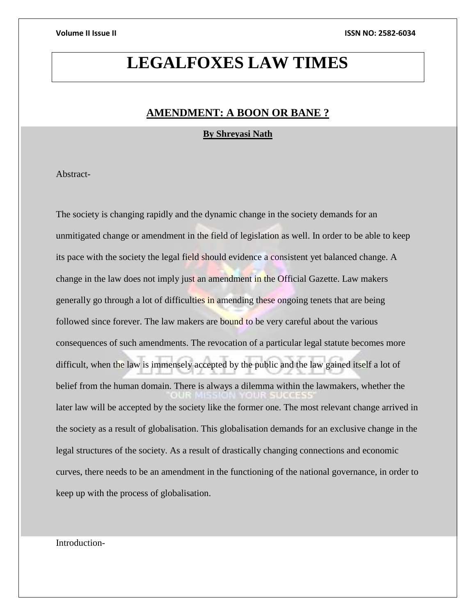# **LEGALFOXES LAW TIMES**

## **AMENDMENT: A BOON OR BANE ?**

**By Shreyasi Nath**

Abstract-

The society is changing rapidly and the dynamic change in the society demands for an unmitigated change or amendment in the field of legislation as well. In order to be able to keep its pace with the society the legal field should evidence a consistent yet balanced change. A change in the law does not imply just an amendment in the Official Gazette. Law makers generally go through a lot of difficulties in amending these ongoing tenets that are being followed since forever. The law makers are bound to be very careful about the various consequences of such amendments. The revocation of a particular legal statute becomes more difficult, when the law is immensely accepted by the public and the law gained itself a lot of belief from the human domain. There is always a dilemma within the lawmakers, whether the later law will be accepted by the society like the former one. The most relevant change arrived in the society as a result of globalisation. This globalisation demands for an exclusive change in the legal structures of the society. As a result of drastically changing connections and economic curves, there needs to be an amendment in the functioning of the national governance, in order to keep up with the process of globalisation.

Introduction-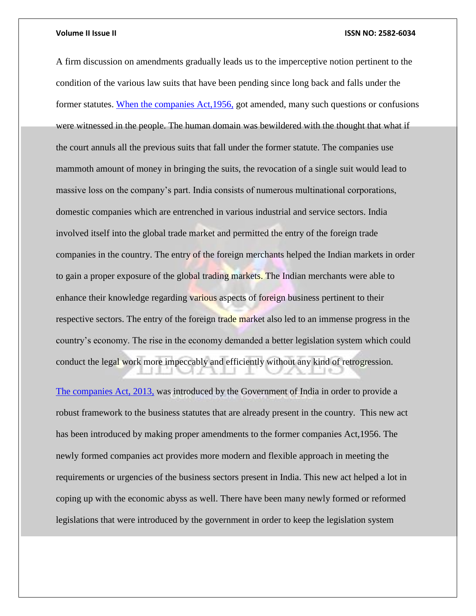### **Volume II Issue II ISSN NO: 2582-6034**

A firm discussion on amendments gradually leads us to the imperceptive notion pertinent to the condition of the various law suits that have been pending since long back and falls under the former statutes. [When the companies Act,1956,](file:///C:/Users/KIIT/Documents/Companies_Act_2013_Vs_Companies_Act_1956.pdf) got amended, many such questions or confusions were witnessed in the people. The human domain was bewildered with the thought that what if the court annuls all the previous suits that fall under the former statute. The companies use mammoth amount of money in bringing the suits, the revocation of a single suit would lead to massive loss on the company's part. India consists of numerous multinational corporations, domestic companies which are entrenched in various industrial and service sectors. India involved itself into the global trade market and permitted the entry of the foreign trade companies in the country. The entry of the foreign merchants helped the Indian markets in order to gain a proper exposure of the global trading markets. The Indian merchants were able to enhance their knowledge regarding various aspects of foreign business pertinent to their respective sectors. The entry of the foreign trade market also led to an immense progress in the country's economy. The rise in the economy demanded a better legislation system which could conduct the legal work more impeccably and efficiently without any kind of retrogression.

[The companies Act, 2013,](file:///C:/Users/KIIT/Documents/Companies_Act_2013_Vs_Companies_Act_1956.pdf) was introduced by the Government of India in order to provide a robust framework to the business statutes that are already present in the country. This new act has been introduced by making proper amendments to the former companies Act,1956. The newly formed companies act provides more modern and flexible approach in meeting the requirements or urgencies of the business sectors present in India. This new act helped a lot in coping up with the economic abyss as well. There have been many newly formed or reformed legislations that were introduced by the government in order to keep the legislation system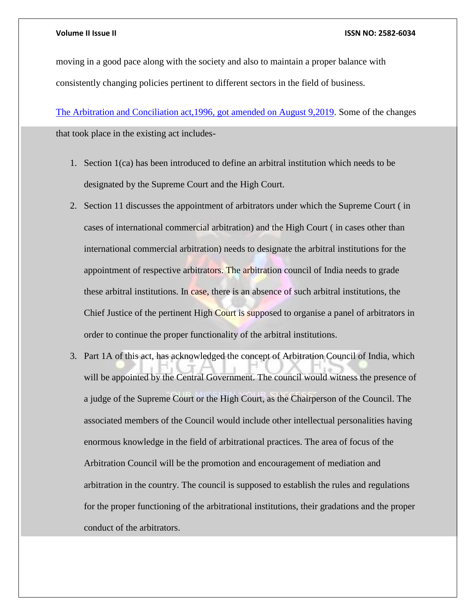## **Volume II Issue II ISSN NO: 2582-6034**

moving in a good pace along with the society and also to maintain a proper balance with consistently changing policies pertinent to different sectors in the field of business.

[The Arbitration and Conciliation act,1996, got amended on August 9,2019.](file:///C:/Users/KIIT/Documents/Arbitration%20and%20conciliation%20(ammendment)%20Act,%202019.pdf) Some of the changes that took place in the existing act includes-

- 1. Section 1(ca) has been introduced to define an arbitral institution which needs to be designated by the Supreme Court and the High Court.
- 2. Section 11 discusses the appointment of arbitrators under which the Supreme Court ( in cases of international commercial arbitration) and the High Court ( in cases other than international commercial arbitration) needs to designate the arbitral institutions for the appointment of respective arbitrators. The arbitration council of India needs to grade these arbitral institutions. In case, there is an absence of such arbitral institutions, the Chief Justice of the pertinent High Court is supposed to organise a panel of arbitrators in order to continue the proper functionality of the arbitral institutions.
- 3. Part 1A of this act, has acknowledged the concept of Arbitration Council of India, which will be appointed by the Central Government. The council would witness the presence of a judge of the Supreme Court or the High Court, as the Chairperson of the Council. The associated members of the Council would include other intellectual personalities having enormous knowledge in the field of arbitrational practices. The area of focus of the Arbitration Council will be the promotion and encouragement of mediation and arbitration in the country. The council is supposed to establish the rules and regulations for the proper functioning of the arbitrational institutions, their gradations and the proper conduct of the arbitrators.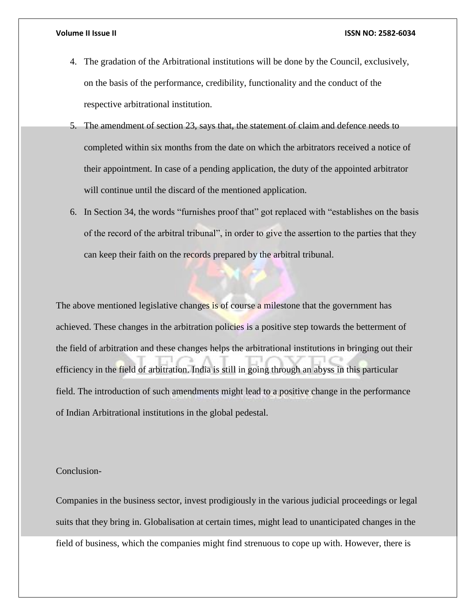- 4. The gradation of the Arbitrational institutions will be done by the Council, exclusively, on the basis of the performance, credibility, functionality and the conduct of the respective arbitrational institution.
- 5. The amendment of section 23, says that, the statement of claim and defence needs to completed within six months from the date on which the arbitrators received a notice of their appointment. In case of a pending application, the duty of the appointed arbitrator will continue until the discard of the mentioned application.
- 6. In Section 34, the words "furnishes proof that" got replaced with "establishes on the basis of the record of the arbitral tribunal", in order to give the assertion to the parties that they can keep their faith on the records prepared by the arbitral tribunal.

The above mentioned legislative changes is of course a milestone that the government has achieved. These changes in the arbitration policies is a positive step towards the betterment of the field of arbitration and these changes helps the arbitrational institutions in bringing out their efficiency in the field of arbitration. India is still in going through an abyss in this particular field. The introduction of such amendments might lead to a positive change in the performance of Indian Arbitrational institutions in the global pedestal.

## Conclusion-

Companies in the business sector, invest prodigiously in the various judicial proceedings or legal suits that they bring in. Globalisation at certain times, might lead to unanticipated changes in the field of business, which the companies might find strenuous to cope up with. However, there is